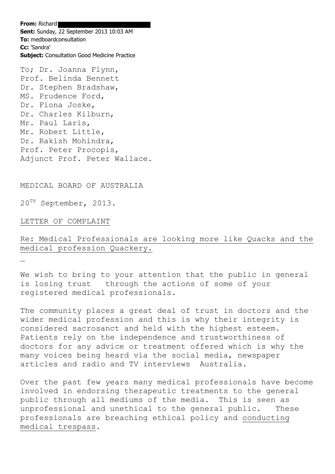**From:** Richard **Sent:** Sunday, 22 September 2013 10:03 AM **To:** medboardconsultation **Cc:** 'Sandra' **Subject:** Consultation Good Medicine Practice

To; Dr. Joanna Flynn, Prof. Belinda Bennett Dr. Stephen Bradshaw, MS. Prudence Ford, Dr. Fiona Joske, Dr. Charles Kilburn, Mr. Paul Laris, Mr. Robert Little, Dr. Rakish Mohindra, Prof. Peter Procopis, Adjunct Prof. Peter Wallace.

MEDICAL BOARD OF AUSTRALIA

20TH September, 2013.

LETTER OF COMPLAINT

Re: Medical Professionals are looking more like Quacks and the medical profession Quackery.

We wish to bring to your attention that the public in general is losing trust through the actions of some of your registered medical professionals.

The community places a great deal of trust in doctors and the wider medical profession and this is why their integrity is considered sacrosanct and held with the highest esteem. Patients rely on the independence and trustworthiness of doctors for any advice or treatment offered which is why the many voices being heard via the social media, newspaper articles and radio and TV interviews Australia.

Over the past few years many medical professionals have become involved in endorsing therapeutic treatments to the general public through all mediums of the media. This is seen as unprofessional and unethical to the general public. These professionals are breaching ethical policy and conducting medical trespass.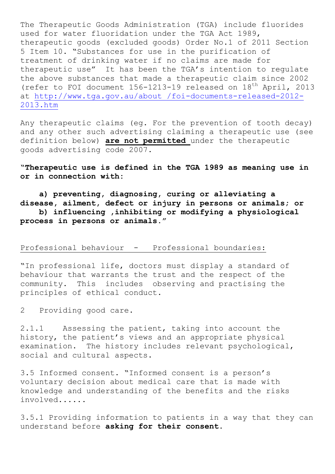The Therapeutic Goods Administration (TGA) include fluorides used for water fluoridation under the TGA Act 1989, therapeutic goods (excluded goods) Order No.1 of 2011 Section 5 Item 10. "Substances for use in the purification of treatment of drinking water if no claims are made for therapeutic use" It has been the TGA's intention to regulate the above substances that made a therapeutic claim since 2002 (refer to FOI document 156-1213-19 released on 18<sup>th</sup> April, 2013 at [http://www.tga.gov.au/about /foi-documents-released-2012-](http://www.tga.gov.au/about%20/foi-documents-released-2012-2013.htm) [2013.htm](http://www.tga.gov.au/about%20/foi-documents-released-2012-2013.htm) 

Any therapeutic claims (eg. For the prevention of tooth decay) and any other such advertising claiming a therapeutic use (see definition below) **are not permitted** under the therapeutic goods advertising code 2007.

**"Therapeutic use is defined in the TGA 1989 as meaning use in or in connection with:**

 **a) preventing, diagnosing, curing or alleviating a disease, ailment, defect or injury in persons or animals; or**

 **b) influencing ,inhibiting or modifying a physiological process in persons or animals."**

## Professional behaviour - Professional boundaries:

"In professional life, doctors must display a standard of behaviour that warrants the trust and the respect of the community. This includes observing and practising the principles of ethical conduct.

2 Providing good care.

2.1.1 Assessing the patient, taking into account the history, the patient's views and an appropriate physical examination. The history includes relevant psychological, social and cultural aspects.

3.5 Informed consent. "Informed consent is a person's voluntary decision about medical care that is made with knowledge and understanding of the benefits and the risks involved......

3.5.1 Providing information to patients in a way that they can understand before **asking for their consent.**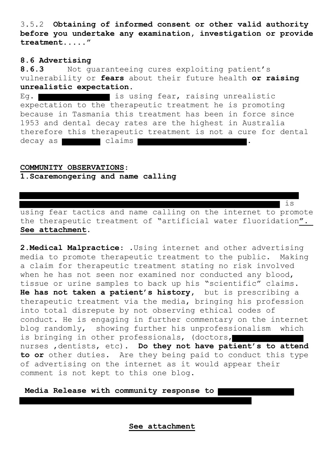3.5.2 **Obtaining of informed consent or other valid authority before you undertake any examination, investigation or provide treatment....."**

## **8.6 Advertising**

**8.6.3** Not guaranteeing cures exploiting patient's vulnerability or **fears** about their future health **or raising unrealistic expectation**.

Eq. **is using fear, raising unrealistic** expectation to the therapeutic treatment he is promoting because in Tasmania this treatment has been in force since 1953 and dental decay rates are the highest in Australia therefore this therapeutic treatment is not a cure for dental decay as **claims** 

## **COMMUNITY OBSERVATIONS**:

**1.Scaremongering and name calling**

using fear tactics and name calling on the internet to promote the therapeutic treatment of "artificial water fluoridation**". See attachment**.

is

**2.Medical Malpractice**: .Using internet and other advertising media to promote therapeutic treatment to the public. Making a claim for therapeutic treatment stating no risk involved when he has not seen nor examined nor conducted any blood, tissue or urine samples to back up his "scientific" claims**. He has not taken a patient's history,** but is prescribing a therapeutic treatment via the media, bringing his profession into total disrepute by not observing ethical codes of conduct. He is engaging in further commentary on the internet blog randomly, showing further his unprofessionalism which is bringing in other professionals, (doctors, nurses ,dentists, etc)**. Do they not have patient's to attend to or** other duties. Are they being paid to conduct this type of advertising on the internet as it would appear their comment is not kept to this one blog.

**Media Release with community response to** 

 **See attachment**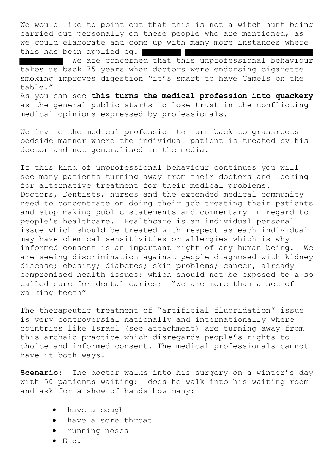We would like to point out that this is not a witch hunt being carried out personally on these people who are mentioned, as we could elaborate and come up with many more instances where this has been applied eg.

We are concerned that this unprofessional behaviour takes us back 75 years when doctors were endorsing cigarette smoking improves digestion "it's smart to have Camels on the table." As you can see **this turns the medical profession into quackery**

as the general public starts to lose trust in the conflicting medical opinions expressed by professionals.

We invite the medical profession to turn back to grassroots bedside manner where the individual patient is treated by his doctor and not generalised in the media.

If this kind of unprofessional behaviour continues you will see many patients turning away from their doctors and looking for alternative treatment for their medical problems. Doctors, Dentists, nurses and the extended medical community need to concentrate on doing their job treating their patients and stop making public statements and commentary in regard to people's healthcare. Healthcare is an individual personal issue which should be treated with respect as each individual may have chemical sensitivities or allergies which is why informed consent is an important right of any human being. We are seeing discrimination against people diagnosed with kidney disease; obesity; diabetes; skin problems; cancer, already compromised health issues; which should not be exposed to a so called cure for dental caries; "we are more than a set of walking teeth"

The therapeutic treatment of "artificial fluoridation" issue is very controversial nationally and internationally where countries like Israel (see attachment) are turning away from this archaic practice which disregards people's rights to choice and informed consent. The medical professionals cannot have it both ways.

**Scenario**: The doctor walks into his surgery on a winter's day with 50 patients waiting; does he walk into his waiting room and ask for a show of hands how many:

- have a cough
- have a sore throat
- running noses
- Etc.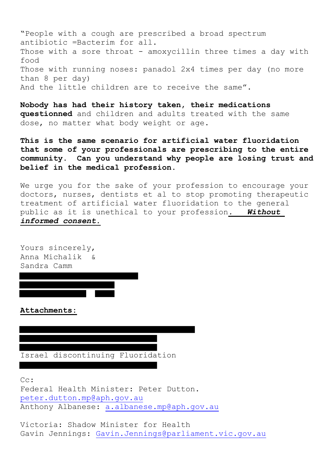"People with a cough are prescribed a broad spectrum antibiotic =Bacterim for all. Those with a sore throat - amoxycillin three times a day with food Those with running noses: panadol 2x4 times per day (no more than 8 per day) And the little children are to receive the same".

**Nobody has had their history taken, their medications questionned** and children and adults treated with the same dose, no matter what body weight or age.

**This is the same scenario for artificial water fluoridation that some of your professionals are prescribing to the entire community. Can you understand why people are losing trust and belief in the medical profession.** 

We urge you for the sake of your profession to encourage your doctors, nurses, dentists et al to stop promoting therapeutic treatment of artificial water fluoridation to the general public as it is unethical to your profession*. Without informed consent.*

Yours sincerely, Anna Michalik & Sandra Camm

**Attachments:**

Israel discontinuing Fluoridation

Cc:

Federal Health Minister: Peter Dutton. [peter.dutton.mp@aph.gov.au](mailto:peter.dutton.mp@aph.gov.au) Anthony Albanese: [a.albanese.mp@aph.gov.au](mailto:a.albanese.mp@aph.gov.au)

Victoria: Shadow Minister for Health Gavin Jennings: [Gavin.Jennings@parliament.vic.gov.au](mailto:Gavin.Jennings@parliament.vic.gov.au)